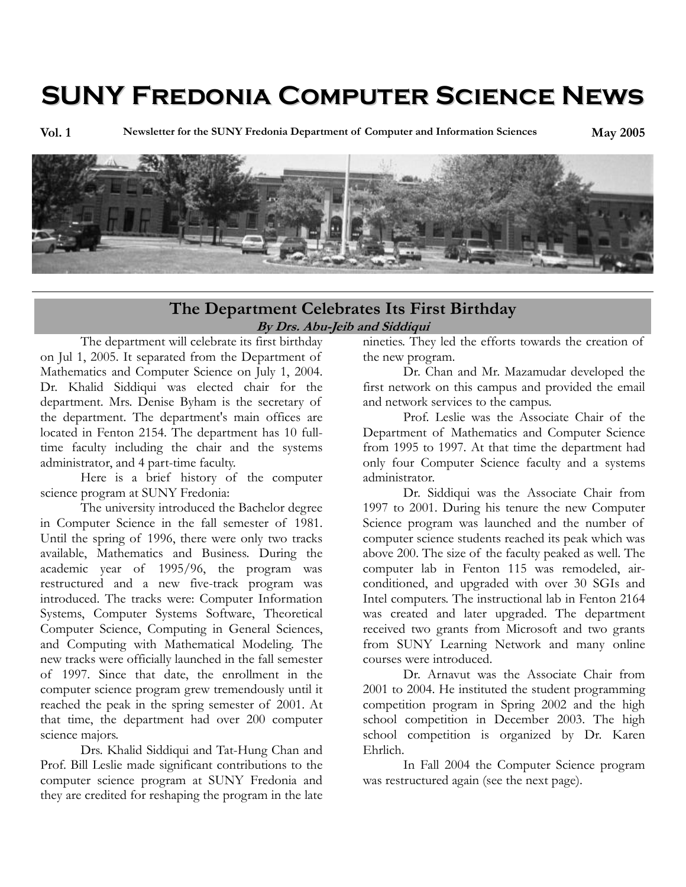# **SUNY Fredonia Computer Science News**

**Vol. 1 Newsletter for the SUNY Fredonia Department of Computer and Information Sciences May 2005**



#### **The Department Celebrates Its First Birthday By Drs. Abu-Jeib and Siddiqui**

The department will celebrate its first birthday on Jul 1, 2005. It separated from the Department of Mathematics and Computer Science on July 1, 2004. Dr. Khalid Siddiqui was elected chair for the department. Mrs. Denise Byham is the secretary of the department. The department's main offices are located in Fenton 2154. The department has 10 fulltime faculty including the chair and the systems administrator, and 4 part-time faculty.

Here is a brief history of the computer science program at SUNY Fredonia:

The university introduced the Bachelor degree in Computer Science in the fall semester of 1981. Until the spring of 1996, there were only two tracks available, Mathematics and Business. During the academic year of 1995/96, the program was restructured and a new five-track program was introduced. The tracks were: Computer Information Systems, Computer Systems Software, Theoretical Computer Science, Computing in General Sciences, and Computing with Mathematical Modeling. The new tracks were officially launched in the fall semester of 1997. Since that date, the enrollment in the computer science program grew tremendously until it reached the peak in the spring semester of 2001. At that time, the department had over 200 computer science majors.

Drs. Khalid Siddiqui and Tat-Hung Chan and Prof. Bill Leslie made significant contributions to the computer science program at SUNY Fredonia and they are credited for reshaping the program in the late

nineties. They led the efforts towards the creation of the new program.

Dr. Chan and Mr. Mazamudar developed the first network on this campus and provided the email and network services to the campus.

Prof. Leslie was the Associate Chair of the Department of Mathematics and Computer Science from 1995 to 1997. At that time the department had only four Computer Science faculty and a systems administrator.

Dr. Siddiqui was the Associate Chair from 1997 to 2001. During his tenure the new Computer Science program was launched and the number of computer science students reached its peak which was above 200. The size of the faculty peaked as well. The computer lab in Fenton 115 was remodeled, airconditioned, and upgraded with over 30 SGIs and Intel computers. The instructional lab in Fenton 2164 was created and later upgraded. The department received two grants from Microsoft and two grants from SUNY Learning Network and many online courses were introduced.

Dr. Arnavut was the Associate Chair from 2001 to 2004. He instituted the student programming competition program in Spring 2002 and the high school competition in December 2003. The high school competition is organized by Dr. Karen Ehrlich.

In Fall 2004 the Computer Science program was restructured again (see the next page).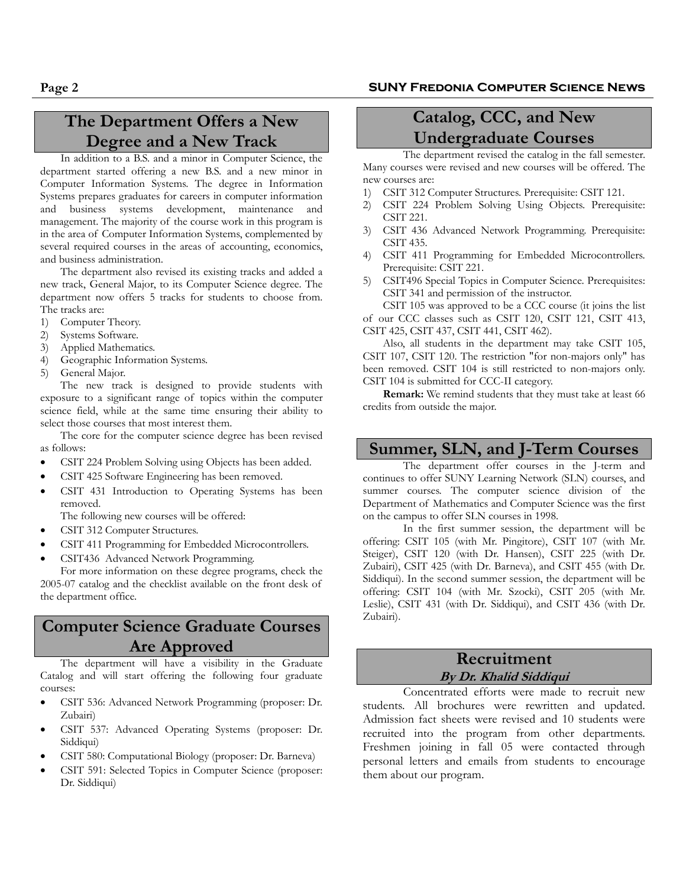## **The Department Offers a New Degree and a New Track**

In addition to a B.S. and a minor in Computer Science, the department started offering a new B.S. and a new minor in Computer Information Systems. The degree in Information Systems prepares graduates for careers in computer information and business systems development, maintenance and management. The majority of the course work in this program is in the area of Computer Information Systems, complemented by several required courses in the areas of accounting, economics, and business administration.

The department also revised its existing tracks and added a new track, General Major, to its Computer Science degree. The department now offers 5 tracks for students to choose from. The tracks are:

- 1) Computer Theory.
- 2) Systems Software.
- 3) Applied Mathematics.
- 4) Geographic Information Systems.
- 5) General Major.

The new track is designed to provide students with exposure to a significant range of topics within the computer science field, while at the same time ensuring their ability to select those courses that most interest them.

The core for the computer science degree has been revised as follows:

- CSIT 224 Problem Solving using Objects has been added.
- CSIT 425 Software Engineering has been removed.
- CSIT 431 Introduction to Operating Systems has been removed.
- The following new courses will be offered:
- CSIT 312 Computer Structures.
- CSIT 411 Programming for Embedded Microcontrollers.
- CSIT436 Advanced Network Programming.

For more information on these degree programs, check the 2005-07 catalog and the checklist available on the front desk of the department office.

## **Computer Science Graduate Courses Are Approved**

The department will have a visibility in the Graduate Catalog and will start offering the following four graduate courses:

- CSIT 536: Advanced Network Programming (proposer: Dr. Zubairi)
- CSIT 537: Advanced Operating Systems (proposer: Dr. Siddiqui)
- CSIT 580: Computational Biology (proposer: Dr. Barneva)
- CSIT 591: Selected Topics in Computer Science (proposer: Dr. Siddiqui)

# **Catalog, CCC, and New Undergraduate Courses**

The department revised the catalog in the fall semester. Many courses were revised and new courses will be offered. The new courses are:

- 1) CSIT 312 Computer Structures. Prerequisite: CSIT 121.
- 2) CSIT 224 Problem Solving Using Objects. Prerequisite: CSIT 221.
- 3) CSIT 436 Advanced Network Programming. Prerequisite: CSIT 435.
- 4) CSIT 411 Programming for Embedded Microcontrollers. Prerequisite: CSIT 221.
- 5) CSIT496 Special Topics in Computer Science. Prerequisites: CSIT 341 and permission of the instructor.

CSIT 105 was approved to be a CCC course (it joins the list of our CCC classes such as CSIT 120, CSIT 121, CSIT 413, CSIT 425, CSIT 437, CSIT 441, CSIT 462).

Also, all students in the department may take CSIT 105, CSIT 107, CSIT 120. The restriction "for non-majors only" has been removed. CSIT 104 is still restricted to non-majors only. CSIT 104 is submitted for CCC-II category.

**Remark:** We remind students that they must take at least 66 credits from outside the major.

#### **Summer, SLN, and J-Term Courses**

The department offer courses in the J-term and continues to offer SUNY Learning Network (SLN) courses, and summer courses. The computer science division of the Department of Mathematics and Computer Science was the first on the campus to offer SLN courses in 1998.

In the first summer session, the department will be offering: CSIT 105 (with Mr. Pingitore), CSIT 107 (with Mr. Steiger), CSIT 120 (with Dr. Hansen), CSIT 225 (with Dr. Zubairi), CSIT 425 (with Dr. Barneva), and CSIT 455 (with Dr. Siddiqui). In the second summer session, the department will be offering: CSIT 104 (with Mr. Szocki), CSIT 205 (with Mr. Leslie), CSIT 431 (with Dr. Siddiqui), and CSIT 436 (with Dr. Zubairi).

#### **Recruitment By Dr. Khalid Siddiqui**

Concentrated efforts were made to recruit new students. All brochures were rewritten and updated. Admission fact sheets were revised and 10 students were recruited into the program from other departments. Freshmen joining in fall 05 were contacted through personal letters and emails from students to encourage them about our program.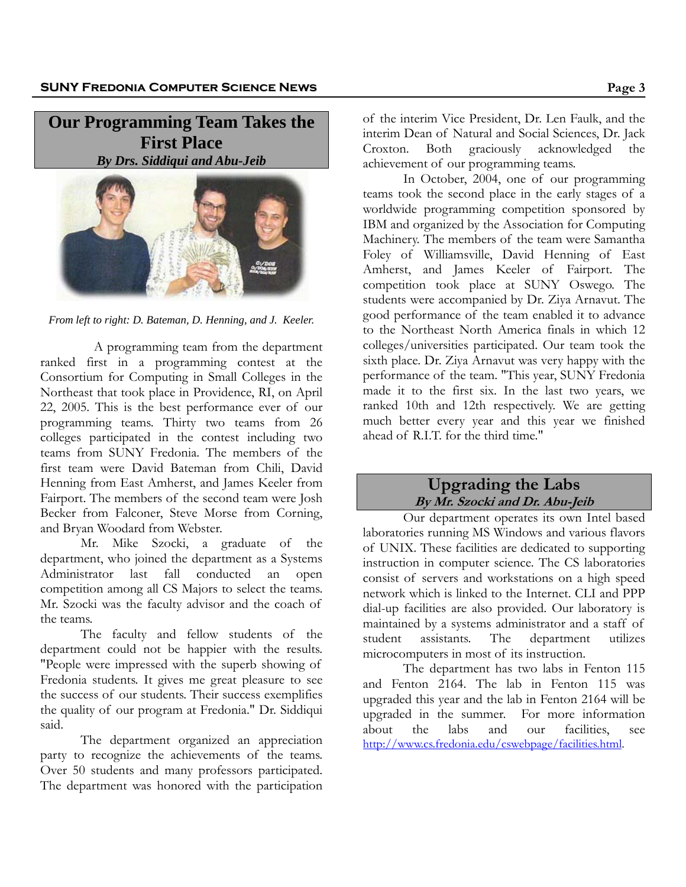**Our Programming Team Takes the First Place**  *By Drs. Siddiqui and Abu-Jeib* 



*From left to right: D. Bateman, D. Henning, and J. Keeler.* 

A programming team from the department ranked first in a programming contest at the Consortium for Computing in Small Colleges in the Northeast that took place in Providence, RI, on April 22, 2005. This is the best performance ever of our programming teams. Thirty two teams from 26 colleges participated in the contest including two teams from SUNY Fredonia. The members of the first team were David Bateman from Chili, David Henning from East Amherst, and James Keeler from Fairport. The members of the second team were Josh Becker from Falconer, Steve Morse from Corning, and Bryan Woodard from Webster.

Mr. Mike Szocki, a graduate of the department, who joined the department as a Systems Administrator last fall conducted an open competition among all CS Majors to select the teams. Mr. Szocki was the faculty advisor and the coach of the teams.

The faculty and fellow students of the department could not be happier with the results. "People were impressed with the superb showing of Fredonia students. It gives me great pleasure to see the success of our students. Their success exemplifies the quality of our program at Fredonia." Dr. Siddiqui said.

The department organized an appreciation party to recognize the achievements of the teams. Over 50 students and many professors participated. The department was honored with the participation

of the interim Vice President, Dr. Len Faulk, and the interim Dean of Natural and Social Sciences, Dr. Jack Croxton. Both graciously acknowledged the achievement of our programming teams.

In October, 2004, one of our programming teams took the second place in the early stages of a worldwide programming competition sponsored by IBM and organized by the Association for Computing Machinery. The members of the team were Samantha Foley of Williamsville, David Henning of East Amherst, and James Keeler of Fairport. The competition took place at SUNY Oswego. The students were accompanied by Dr. Ziya Arnavut. The good performance of the team enabled it to advance to the Northeast North America finals in which 12 colleges/universities participated. Our team took the sixth place. Dr. Ziya Arnavut was very happy with the performance of the team. "This year, SUNY Fredonia made it to the first six. In the last two years, we ranked 10th and 12th respectively. We are getting much better every year and this year we finished ahead of R.I.T. for the third time."

#### **Upgrading the Labs By Mr. Szocki and Dr. Abu-Jeib**

Our department operates its own Intel based laboratories running MS Windows and various flavors of UNIX. These facilities are dedicated to supporting instruction in computer science. The CS laboratories consist of servers and workstations on a high speed network which is linked to the Internet. CLI and PPP dial-up facilities are also provided. Our laboratory is maintained by a systems administrator and a staff of student assistants. The department utilizes microcomputers in most of its instruction.

The department has two labs in Fenton 115 and Fenton 2164. The lab in Fenton 115 was upgraded this year and the lab in Fenton 2164 will be upgraded in the summer. For more information about the labs and our facilities, see http://www.cs.fredonia.edu/cswebpage/facilities.html.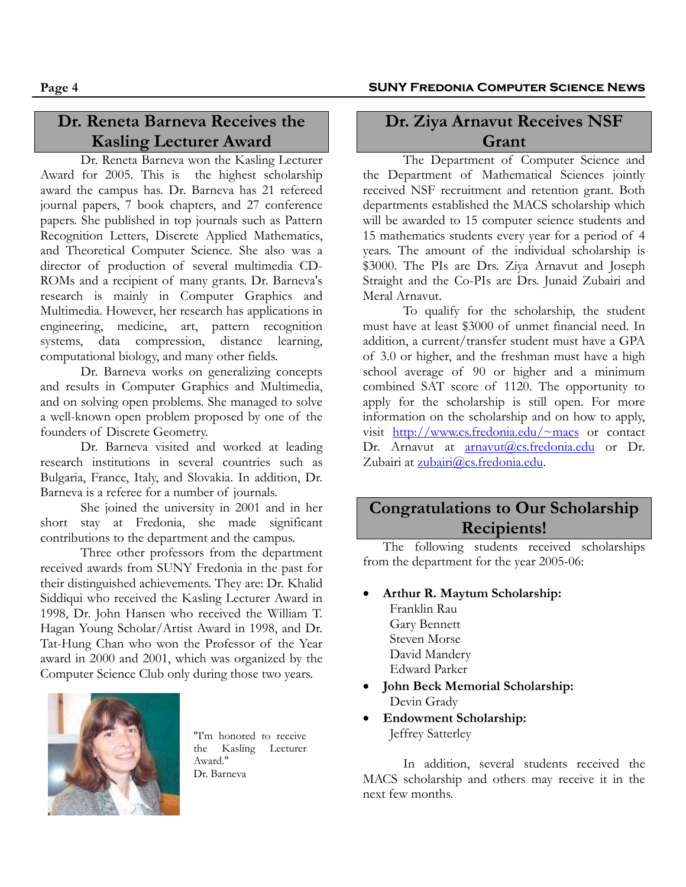## **Dr. Reneta Barneva Receives the Kasling Lecturer Award**

Dr. Reneta Barneva won the Kasling Lecturer Award for 2005. This is the highest scholarship award the campus has. Dr. Barneva has 21 refereed journal papers, 7 book chapters, and 27 conference papers. She published in top journals such as Pattern Recognition Letters, Discrete Applied Mathematics, and Theoretical Computer Science. She also was a director of production of several multimedia CD-ROMs and a recipient of many grants. Dr. Barneva's research is mainly in Computer Graphics and Multimedia. However, her research has applications in engineering, medicine, art, pattern recognition systems, data compression, distance learning, computational biology, and many other fields.

Dr. Barneva works on generalizing concepts and results in Computer Graphics and Multimedia, and on solving open problems. She managed to solve a well-known open problem proposed by one of the founders of Discrete Geometry.

Dr. Barneva visited and worked at leading research institutions in several countries such as Bulgaria, France, Italy, and Slovakia. In addition, Dr. Barneva is a referee for a number of journals.

She joined the university in 2001 and in her short stay at Fredonia, she made significant contributions to the department and the campus.

Three other professors from the department received awards from SUNY Fredonia in the past for their distinguished achievements. They are: Dr. Khalid Siddiqui who received the Kasling Lecturer Award in 1998, Dr. John Hansen who received the William T. Hagan Young Scholar/Artist Award in 1998, and Dr. Tat-Hung Chan who won the Professor of the Year award in 2000 and 2001, which was organized by the Computer Science Club only during those two years.



"I'm honored to receive the Kasling Lecturer Award." Dr. Barneva

## **Dr. Ziya Arnavut Receives NSF Grant**

 The Department of Computer Science and the Department of Mathematical Sciences jointly received NSF recruitment and retention grant. Both departments established the MACS scholarship which will be awarded to 15 computer science students and 15 mathematics students every year for a period of 4 years. The amount of the individual scholarship is \$3000. The PIs are Drs. Ziya Arnavut and Joseph Straight and the Co-PIs are Drs. Junaid Zubairi and Meral Arnavut.

To qualify for the scholarship, the student must have at least \$3000 of unmet financial need. In addition, a current/transfer student must have a GPA of 3.0 or higher, and the freshman must have a high school average of 90 or higher and a minimum combined SAT score of 1120. The opportunity to apply for the scholarship is still open. For more information on the scholarship and on how to apply, visit http://www.cs.fredonia.edu/~macs or contact Dr. Arnavut at arnavut@cs.fredonia.edu or Dr. Zubairi at zubairi@cs.fredonia.edu.

## **Congratulations to Our Scholarship Recipients!**

The following students received scholarships from the department for the year 2005-06:

• **Arthur R. Maytum Scholarship:**  Franklin Rau Gary Bennett Steven Morse David Mandery

Edward Parker

- **John Beck Memorial Scholarship:**  Devin Grady
- **Endowment Scholarship:**  Jeffrey Satterley

In addition, several students received the MACS scholarship and others may receive it in the next few months.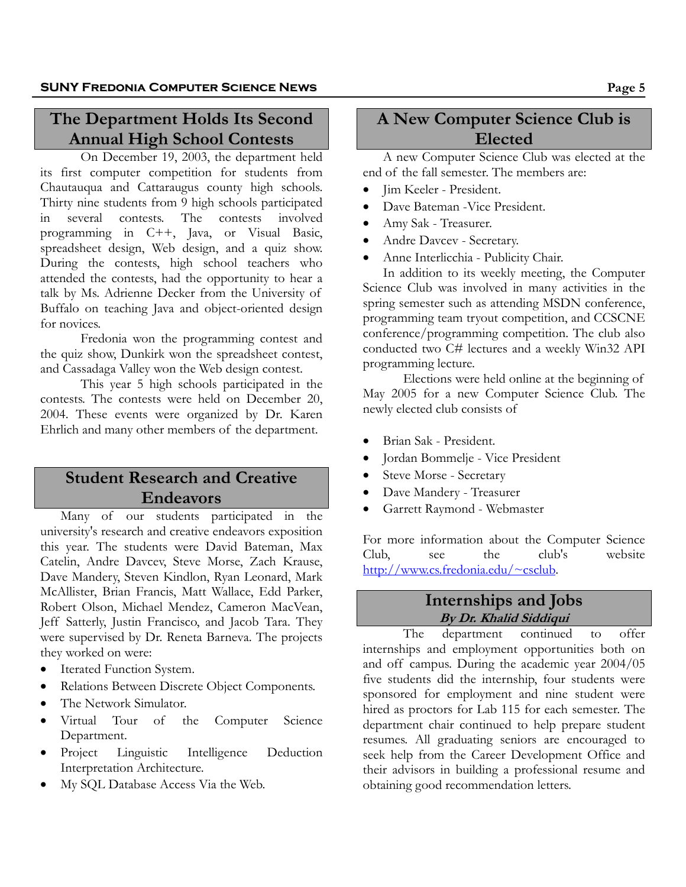## **The Department Holds Its Second Annual High School Contests**

On December 19, 2003, the department held its first computer competition for students from Chautauqua and Cattaraugus county high schools. Thirty nine students from 9 high schools participated in several contests. The contests involved programming in C++, Java, or Visual Basic, spreadsheet design, Web design, and a quiz show. During the contests, high school teachers who attended the contests, had the opportunity to hear a talk by Ms. Adrienne Decker from the University of Buffalo on teaching Java and object-oriented design for novices.

Fredonia won the programming contest and the quiz show, Dunkirk won the spreadsheet contest, and Cassadaga Valley won the Web design contest.

This year 5 high schools participated in the contests. The contests were held on December 20, 2004. These events were organized by Dr. Karen Ehrlich and many other members of the department.

## **Student Research and Creative Endeavors**

Many of our students participated in the university's research and creative endeavors exposition this year. The students were David Bateman, Max Catelin, Andre Davcev, Steve Morse, Zach Krause, Dave Mandery, Steven Kindlon, Ryan Leonard, Mark McAllister, Brian Francis, Matt Wallace, Edd Parker, Robert Olson, Michael Mendez, Cameron MacVean, Jeff Satterly, Justin Francisco, and Jacob Tara. They were supervised by Dr. Reneta Barneva. The projects they worked on were:

- Iterated Function System.
- Relations Between Discrete Object Components.
- The Network Simulator.
- Virtual Tour of the Computer Science Department.
- Project Linguistic Intelligence Deduction Interpretation Architecture.
- My SQL Database Access Via the Web.

# **A New Computer Science Club is Elected**

A new Computer Science Club was elected at the end of the fall semester. The members are:

- Jim Keeler President.
- Dave Bateman Vice President.
- Amy Sak Treasurer.
- Andre Davcev Secretary.
- Anne Interlicchia Publicity Chair.

In addition to its weekly meeting, the Computer Science Club was involved in many activities in the spring semester such as attending MSDN conference, programming team tryout competition, and CCSCNE conference/programming competition. The club also conducted two C# lectures and a weekly Win32 API programming lecture.

Elections were held online at the beginning of May 2005 for a new Computer Science Club. The newly elected club consists of

- Brian Sak President.
- Jordan Bommelje Vice President
- Steve Morse Secretary
- Dave Mandery Treasurer
- Garrett Raymond Webmaster

For more information about the Computer Science Club, see the club's website http://www.cs.fredonia.edu/~csclub.

#### **Internships and Jobs By Dr. Khalid Siddiqui**

The department continued to offer internships and employment opportunities both on and off campus. During the academic year 2004/05 five students did the internship, four students were sponsored for employment and nine student were hired as proctors for Lab 115 for each semester. The department chair continued to help prepare student resumes. All graduating seniors are encouraged to seek help from the Career Development Office and their advisors in building a professional resume and obtaining good recommendation letters.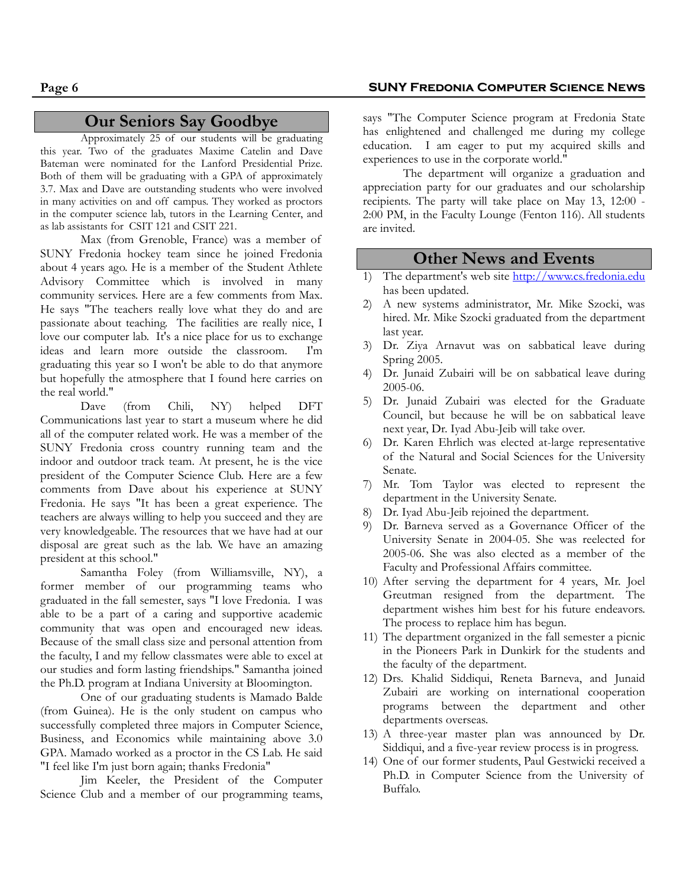#### **Our Seniors Say Goodbye**

Approximately 25 of our students will be graduating this year. Two of the graduates Maxime Catelin and Dave Bateman were nominated for the Lanford Presidential Prize. Both of them will be graduating with a GPA of approximately 3.7. Max and Dave are outstanding students who were involved in many activities on and off campus. They worked as proctors in the computer science lab, tutors in the Learning Center, and as lab assistants for CSIT 121 and CSIT 221.

Max (from Grenoble, France) was a member of SUNY Fredonia hockey team since he joined Fredonia about 4 years ago. He is a member of the Student Athlete Advisory Committee which is involved in many community services. Here are a few comments from Max. He says "The teachers really love what they do and are passionate about teaching. The facilities are really nice, I love our computer lab. It's a nice place for us to exchange ideas and learn more outside the classroom. I'm graduating this year so I won't be able to do that anymore but hopefully the atmosphere that I found here carries on the real world."

Dave (from Chili, NY) helped DFT Communications last year to start a museum where he did all of the computer related work. He was a member of the SUNY Fredonia cross country running team and the indoor and outdoor track team. At present, he is the vice president of the Computer Science Club. Here are a few comments from Dave about his experience at SUNY Fredonia. He says "It has been a great experience. The teachers are always willing to help you succeed and they are very knowledgeable. The resources that we have had at our disposal are great such as the lab. We have an amazing president at this school."

Samantha Foley (from Williamsville, NY), a former member of our programming teams who graduated in the fall semester, says "I love Fredonia. I was able to be a part of a caring and supportive academic community that was open and encouraged new ideas. Because of the small class size and personal attention from the faculty, I and my fellow classmates were able to excel at our studies and form lasting friendships." Samantha joined the Ph.D. program at Indiana University at Bloomington.

One of our graduating students is Mamado Balde (from Guinea). He is the only student on campus who successfully completed three majors in Computer Science, Business, and Economics while maintaining above 3.0 GPA. Mamado worked as a proctor in the CS Lab. He said "I feel like I'm just born again; thanks Fredonia"

Jim Keeler, the President of the Computer Science Club and a member of our programming teams,

#### **Page 6 SUNY Fredonia Computer Science News**

says "The Computer Science program at Fredonia State has enlightened and challenged me during my college education. I am eager to put my acquired skills and experiences to use in the corporate world."

The department will organize a graduation and appreciation party for our graduates and our scholarship recipients. The party will take place on May 13, 12:00 - 2:00 PM, in the Faculty Lounge (Fenton 116). All students are invited.

#### **Other News and Events**

- 1) The department's web site http://www.cs.fredonia.edu has been updated.
- 2) A new systems administrator, Mr. Mike Szocki, was hired. Mr. Mike Szocki graduated from the department last year.
- 3) Dr. Ziya Arnavut was on sabbatical leave during Spring 2005.
- 4) Dr. Junaid Zubairi will be on sabbatical leave during 2005-06.
- 5) Dr. Junaid Zubairi was elected for the Graduate Council, but because he will be on sabbatical leave next year, Dr. Iyad Abu-Jeib will take over.
- 6) Dr. Karen Ehrlich was elected at-large representative of the Natural and Social Sciences for the University Senate.
- 7) Mr. Tom Taylor was elected to represent the department in the University Senate.
- 8) Dr. Iyad Abu-Jeib rejoined the department.
- 9) Dr. Barneva served as a Governance Officer of the University Senate in 2004-05. She was reelected for 2005-06. She was also elected as a member of the Faculty and Professional Affairs committee.
- 10) After serving the department for 4 years, Mr. Joel Greutman resigned from the department. The department wishes him best for his future endeavors. The process to replace him has begun.
- 11) The department organized in the fall semester a picnic in the Pioneers Park in Dunkirk for the students and the faculty of the department.
- 12) Drs. Khalid Siddiqui, Reneta Barneva, and Junaid Zubairi are working on international cooperation programs between the department and other departments overseas.
- 13) A three-year master plan was announced by Dr. Siddiqui, and a five-year review process is in progress.
- 14) One of our former students, Paul Gestwicki received a Ph.D. in Computer Science from the University of Buffalo.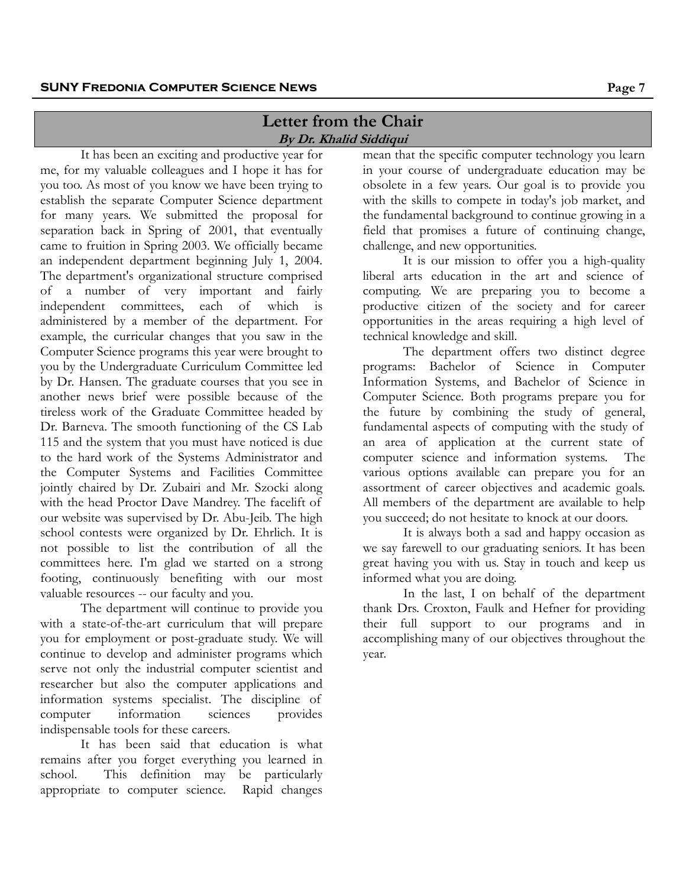#### **Letter from the Chair By Dr. Khalid Siddiqui**

It has been an exciting and productive year for me, for my valuable colleagues and I hope it has for you too. As most of you know we have been trying to establish the separate Computer Science department for many years. We submitted the proposal for separation back in Spring of 2001, that eventually came to fruition in Spring 2003. We officially became an independent department beginning July 1, 2004. The department's organizational structure comprised of a number of very important and fairly independent committees, each of which is administered by a member of the department. For example, the curricular changes that you saw in the Computer Science programs this year were brought to you by the Undergraduate Curriculum Committee led by Dr. Hansen. The graduate courses that you see in another news brief were possible because of the tireless work of the Graduate Committee headed by Dr. Barneva. The smooth functioning of the CS Lab 115 and the system that you must have noticed is due to the hard work of the Systems Administrator and the Computer Systems and Facilities Committee jointly chaired by Dr. Zubairi and Mr. Szocki along with the head Proctor Dave Mandrey. The facelift of our website was supervised by Dr. Abu-Jeib. The high school contests were organized by Dr. Ehrlich. It is not possible to list the contribution of all the committees here. I'm glad we started on a strong footing, continuously benefiting with our most valuable resources -- our faculty and you.

The department will continue to provide you with a state-of-the-art curriculum that will prepare you for employment or post-graduate study. We will continue to develop and administer programs which serve not only the industrial computer scientist and researcher but also the computer applications and information systems specialist. The discipline of computer information sciences provides indispensable tools for these careers.

It has been said that education is what remains after you forget everything you learned in school. This definition may be particularly appropriate to computer science. Rapid changes mean that the specific computer technology you learn in your course of undergraduate education may be obsolete in a few years. Our goal is to provide you with the skills to compete in today's job market, and the fundamental background to continue growing in a field that promises a future of continuing change, challenge, and new opportunities.

It is our mission to offer you a high-quality liberal arts education in the art and science of computing. We are preparing you to become a productive citizen of the society and for career opportunities in the areas requiring a high level of technical knowledge and skill.

The department offers two distinct degree programs: Bachelor of Science in Computer Information Systems, and Bachelor of Science in Computer Science. Both programs prepare you for the future by combining the study of general, fundamental aspects of computing with the study of an area of application at the current state of computer science and information systems. The various options available can prepare you for an assortment of career objectives and academic goals. All members of the department are available to help you succeed; do not hesitate to knock at our doors.

It is always both a sad and happy occasion as we say farewell to our graduating seniors. It has been great having you with us. Stay in touch and keep us informed what you are doing.

In the last, I on behalf of the department thank Drs. Croxton, Faulk and Hefner for providing their full support to our programs and in accomplishing many of our objectives throughout the year.